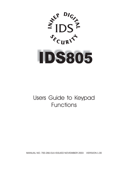



# Users Guide to Keypad Functions

MANUAL NO. 700-266-01A ISSUED NOVEMBER 2003 VERSION 1.00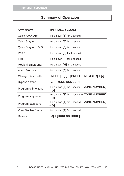# **Summary of Operation**

| Arm/ disarm                | $[#] + [USER CODE]$                                 |  |
|----------------------------|-----------------------------------------------------|--|
| Quick Away Arm             | Hold down [1] for 1 second                          |  |
| Quick Stay Arm             | Hold down [5] for 1 second                          |  |
| Quick Stay Arm & Go        | Hold down [6] for 1 second                          |  |
| Panic                      | Hold down $[P]$ for 1 second                        |  |
| Fire                       | Hold down $[F]$ for 1 second                        |  |
| Medical Emergency          | Hold down [M] for 1 second                          |  |
| Alarm Memory               | Hold down [0] for 1 second                          |  |
|                            | $[{\sf MODEL}]+[9]+[{\sf PROFILE NUMBER}]+[*]$      |  |
| Change Stay Profile        |                                                     |  |
| Bypass a zone              | $[*]$ + [ZONE NUMBER]                               |  |
| Program chime zone         | Hold down [2] for 1 second + [ZONE NUMBER]<br>+ [∗] |  |
| Program stay zone          | Hold down [3] for 1 second + [ZONE NUMBER]<br>+ [∗] |  |
| Program buzz zone          | Hold down [4] for 1 second + [ZONE NUMBER]<br>+ [*] |  |
| <b>View Trouble Status</b> | Hold down [7] for 1 second                          |  |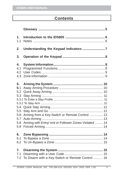# **Contents**

| 1 <sub>1</sub>                                             |                                                                                                          |
|------------------------------------------------------------|----------------------------------------------------------------------------------------------------------|
| 1.1                                                        |                                                                                                          |
| 2.                                                         | Understanding the Keypad Indicators 7                                                                    |
| 3.                                                         |                                                                                                          |
| 4.                                                         |                                                                                                          |
| 4.1                                                        |                                                                                                          |
| 4.2                                                        |                                                                                                          |
| 4.3                                                        |                                                                                                          |
| 5.<br>5.1<br>5.2<br>5.3<br>5.5<br>5.6<br>5.7<br>5.8<br>5.9 | Arming from a Key-Switch or Remote Control  13<br>Arming with Entry/ exit or Follower Zones Violated  14 |
| 6.                                                         |                                                                                                          |
| 6.1                                                        |                                                                                                          |
| 6.2                                                        |                                                                                                          |
| 7.                                                         |                                                                                                          |
| 7.1                                                        |                                                                                                          |
| 7.2                                                        | To Disarm with a Key-Switch or Remote Control  16                                                        |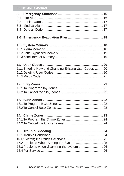# **IDS805 USER MANUAL**

| 8.<br>8.1<br>8.2<br>8.3<br>8.4 |                                                       |  |
|--------------------------------|-------------------------------------------------------|--|
|                                |                                                       |  |
|                                |                                                       |  |
|                                | 11.1 Entering New and Changing Existing User Codes 20 |  |
|                                |                                                       |  |
|                                |                                                       |  |
|                                |                                                       |  |
|                                | 15.2 Problems When Arming the System  25              |  |
|                                | 15.3 Problems when disarming the system  26           |  |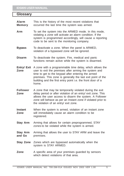# <span id="page-4-0"></span>**Glossary**

| Alarm<br><b>Memory</b>    | This is the history of the most recent violations that<br>occurred the last time the system was armed.                                                                                                                                                                                                        |
|---------------------------|---------------------------------------------------------------------------------------------------------------------------------------------------------------------------------------------------------------------------------------------------------------------------------------------------------------|
| Arm                       | To set the system into the ARMED mode. In this mode,<br>violating a zone will activate an alarm condition. If the<br>system is programmed accordingly, will cause a reporting<br>code to be sent to the monitoring company.                                                                                   |
| <b>Bypass</b>             | To deactivate a zone. When the panel is ARMED,<br>violation of a bypassed zone will be ignored.                                                                                                                                                                                                               |
| <b>Disarm</b>             | To deactivate the system. Fire, medical and panic<br>functions remain active while the system is disarmed.                                                                                                                                                                                                    |
| Entry/ Exit<br>Zone       | A zone with a programmable time delay, which allows the<br>user to exit the premises after arming the system and<br>time to get to the keypad after entering the armed<br>premises. This zone is generally the last exit point of the<br>building and the first entry point i.e. the front door of a<br>home. |
| <b>Follower</b><br>Zone   | A zone that may be temporarily violated during the exit<br>delay period or after violation of an entry/ exit zone. This<br>allows the user access to disarm the system. A Follower<br>zone will behave as per an Instant zone if violated prior to<br>the violation of an entry/ exit zone.                   |
| <b>Instant</b><br>Zone    | When the system is armed, violation of an instant zone<br>will immediately cause an alarm condition to be<br>registered.                                                                                                                                                                                      |
| <b>Stay Arm</b>           | Arming that allows for certain preprogrammed, STAY<br>zones to be violated while the system is armed.                                                                                                                                                                                                         |
| <b>Stay Arm</b><br>and Go | Arming that allows the user to STAY ARM and leave the<br>premises.                                                                                                                                                                                                                                            |
| <b>Stay Zone</b>          | Zones which are bypassed automatically when the<br>system is STAY ARMED.                                                                                                                                                                                                                                      |
| Zone                      | A specific area of your premises guarded by sensors<br>which detect violations of that area.                                                                                                                                                                                                                  |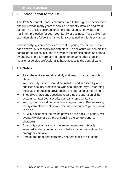## <span id="page-5-0"></span>**1. Introduction to the IDS805**

The IDS805 Control Panel is manufactured to the highest specification and will provide many years of service if correctly installed and maintained. The unit is designed for simple operation yet provides the maximum protection for you, your family or business. For trouble free operation please follow the instructions contained in this User Manual.

Your security system consists of a control panel, one or more keypads and various sensors and detectors. An enclosure will contain the control panel which includes the system electronics, fuses and standby battery. There is normally no reason for anyone other than the installer or service professional to have access to the control panel.

#### **1.1 Notes**

- $\cdot$  Read the entire manual carefully and keep it in an accessible place.
- Your security system should be installed and serviced by a qualified security professional who should instruct you regarding the level of protection provided and the operation of the system.
- $\div$  Should you have any questions regarding the operation of the system, contact your security company representative.
- \* Your system should be tested on a regular basis. Before testing the system please notify your security company of your intention to do so.
- \* NEVER disconnect the mains power as the back-up battery will eventually discharge thereby causing the control panel to shutdown.
- $\div$  A security system cannot prevent emergencies. It is only intended to alert you and - if included - your central station of an emergency situation.
- ❖ Smoke and heat detectors may not detect all fire situations.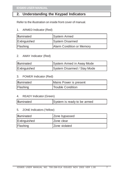# <span id="page-6-0"></span>**2. Understanding the Keypad Indicators**

Refer to the illustration on inside front cover of manual.

1. ARMED Indicator (Red)

| Illuminated  | System Armed              |  |
|--------------|---------------------------|--|
| Extinguished | System Disarmed           |  |
| Flashing     | Alarm Condition or Memory |  |

#### 2. AWAY Indicator (Red)

| Illuminated  | System Armed in Away Mode   |
|--------------|-----------------------------|
| Extinguished | System Disarmed / Stay Mode |

#### 3. POWER Indicator (Red)

| Illuminated | Mains Power is present |
|-------------|------------------------|
| Flashing    | Trouble Condition      |

#### 4. READY Indicator (Green)

#### 5. ZONE Indicators (Yellow)

| Illuminated  | Zone bypassed        |  |
|--------------|----------------------|--|
| Extinguished | <b>Zone clear</b>    |  |
| Flashing     | <b>Zone violated</b> |  |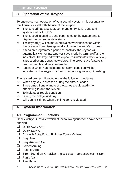## <span id="page-7-0"></span>**3. Operation of the Keypad**

To ensure correct operation of your security system it is essential to familiarize yourself with the use of the keypad.

- The keypad has a buzzer, command entry keys, zone and system status L.E.D.'s.
- $\div$  The keypad is used to send commands to the system and to display the current system status.
- $\div$  The keypad(s) will be mounted in a convenient location within the protected premises generally close to the entry/exit zones.
- $\div$  After a preprogrammed period of inactivity, the keypad will automatically enter into a power-save mode by turning off all the indicators. The keypad "wakes up" or re-illuminates when any key is pressed or any zones are violated. The power save feature is programmable and may be disabled.
- ❖ A sensor which has registered an alarm condition will be indicated on the keypad by the corresponding zone light flashing.

The keypad buzzer will sound under the following conditions.

- $\div$  When any key is pressed during the entry of codes.
- $\div$  Three times if one or more of the zones are violated when attempting to arm the system.
- $\div$  To indicate a trouble condition.
- ❖ During the entry/exit delay.
- ❖ Will sound 5 times when a chime zone is violated.

# **4. System Information**

## **4.1 Programmed Functions**

Check with your installer which of the following functions have been enabled.

- Quick Away Arm
- Quick Stay Arm
- □ Arm with Entry/Exit or Follower Zones Violated
- Stay Arm
- Stay Arm and Go
- **D** Forced Arming
- **Push to Arm**
- Siren Sound on Arm/Disarm (double toot arm/ short toot disarm)
- **D** Panic Alarm
- **Example 7** Fire Alarm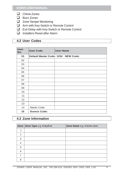- <span id="page-8-0"></span>**Q** Chime Zones
- **Buzz Zones**
- **Q** Zone Tamper Monitoring
- **Arm with Key-Switch or Remote Control**
- □ Exit Delay with Key-Switch or Remote Control
- Installers Reset after Alarm

## **4.2 User Codes**

| <b>User</b><br>No. | <b>User Code</b>                    | <b>User Name</b> |
|--------------------|-------------------------------------|------------------|
| 01                 | Default Master Code: 1234 NEW Code: |                  |
| 02                 |                                     |                  |
| 03                 |                                     |                  |
| 04                 |                                     |                  |
| 05                 |                                     |                  |
| 06                 |                                     |                  |
| 07                 |                                     |                  |
| 08                 |                                     |                  |
| 09                 |                                     |                  |
| 10                 |                                     |                  |
| 11                 |                                     |                  |
| 12                 |                                     |                  |
| 13                 |                                     |                  |
| 14                 | Maids Code:                         |                  |
| 15                 | <b>Duress Code:</b>                 |                  |

## **4.3 Zone Information**

|   | Zone Zone Type e.g. Entry/Exit | Zone Name e.g. Kitchen door |
|---|--------------------------------|-----------------------------|
| 1 |                                |                             |
| 2 |                                |                             |
| 3 |                                |                             |
| 4 |                                |                             |
| 5 |                                |                             |
| 6 |                                |                             |
| 7 |                                |                             |
| 8 |                                |                             |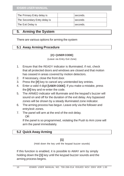<span id="page-9-0"></span>

| The Primary Entry delay is   | seconds. |
|------------------------------|----------|
| The Secondary Entry delay is | seconds  |
| The Exit Delay is            | seconds. |

## **5. Arming the System**

There are various options for arming the system

## **5.1 Away Arming Procedure**

#### **[#] + [USER CODE]**

(Leave via Entry Exit Zone)

- 1. Ensure that the READY indicator is illuminated; if not, check that all protected doors and windows are closed and that motion has ceased in areas covered by motion detectors.
- 2. If necessary, close the front door.
- 3. Press the **[#]** key to cancel any unintended key entries.
- 4. Enter a valid 4 digit **[USER CODE]**. If you make a mistake, press the **[#]** key and re-enter the code.
- 5. The ARMED indicator will illuminate and the keypad's buzzer will sound on and off for the duration of the exit delay. Any bypassed zones will be shown by a steady illuminated zone indicator.
- 6. The arming process has begun. Leave only via the follower and entry/exit zones.
- 7. The panel will arm at the end of the exit delay. OR

If the panel is so programmed, violating the Push to Arm zone will arm the panel immediately.

## **5.2 Quick Away Arming**

## **[1]**

(Hold down the key until the keypad buzzer sounds)

If this function is enabled, it is possible to AWAY arm by simply holding down the **[1]** key until the keypad buzzer sounds and the arming process begins.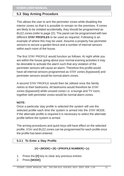## **5.3 Stay Arming Procedure**

This allows the user to arm the perimeter zones while disabling the interior zones so that it is possible to remain on the premises. If zones are likely to be violated accidentally, they should be programmed as BUZZ zones (refer to page 22). The panel can be programmed with two different **STAY PROFILES** to be used as required. Following is an example of where this may be used. Assume a property has perimeter sensors to secure a garden fence and a number of internal sensors within each room of the house.

The first STAY PROFILE would function as follows: At night while you are within the house going about your normal evening activities it may be desirable to activate the alarm such that any violation of the perimeter sensors will cause an alarm. Therefore this profile would have all internal sensors programmed as STAY zones (bypassed) and perimeter sensors would be normal alarm zones.

A second STAY PROFILE would then be utilised once the family retires to their bedrooms. All bedrooms would therefore be STAY zones (bypassed) while unused zones i.e. a lounge and TV room, together with perimeter zones would be normal alarm zones.

#### **NOTE:**

Once a particular stay profile is selected the system will use the selected profile each time the system is armed into the STAY MODE. If the alternate profile is required it is necessary to select the alternate profile before the system is armed.

The arming procedures and quick keys will have effect on the selected profile. STAY and BUZZ zones can be programmed for each profile once the profile has been entered.

#### **5.3.1 To Enter a Stay Profile**

#### **[#] + [MODE] + [9] + [PROFILE NUMBER] + []**

- 1. Press the **[#]** key to clear any previous entries.
- 2. Press **[MODE]**.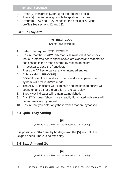- 3. Press **[9]** then press **[1]** or **[2]** for the required profile.
- 4. Press **[]** to enter. A long double beep should be heard.
- 5. Program STAY and BUZZ zones for the profile or ARM the profile (See sections 12 and 13).

#### **5.3.2 To Stay Arm**

#### **[#] + [USER CODE]**

(Do not leave premises)

- 1. Select the required STAY PROFILE.
- 2. Ensure that the READY indicator is illuminated; if not, check that all protected doors and windows are closed and that motion has ceased in the areas covered by motion detectors.
- 3. If necessary, close the front door.
- 4. Press the **[#]** key to cancel any unintended entries.
- 5. Enter a valid **[USER CODE]**.
- 6. DO NOT open the front door. If the front door is opened the system will arm in AWAY mode.
- 7. The ARMED indicator will illuminate and the keypad buzzer will sound on and off for the duration of the exit delay.
- 8. The AWAY indicator will remain extinguished.
- 9. Any STAY zones (shown by a steadily illuminated indicator) will be automatically bypassed.
- 10. Ensure that you enter only those zones that are bypassed.

## **5.4 Quick Stay Arming**

#### **[5]**

(Hold down the key until the keypad buzzer sounds)

It is possible to STAY arm by holding down the **[5]** key until the keypad beeps. There is no exit delay.

## **5.5 Stay Arm and Go**

#### **[6]**

(Hold down the key until the keypad buzzer sounds)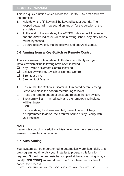This is a quick function which allows the user to STAY arm and leave the premises.

- 1. Hold down the **[6]** key until the keypad buzzer sounds. The keypad buzzer will now sound on and off for the duration of the exit delay
- 2. At the end of the exit delay the ARMED indicator will illuminate and the AWAY indicator will remain extinguished. Any stay zones will be bypassed.
- 3. Be sure to leave only via the follower and entry/exit zones.

## **5.6 Arming from a Key-Switch or Remote Control**

There are several option related to this function. Verify with your installer which of the following have been installed:

- Key-Switch or Remote Control installed
- □ Exit Delay with Key-Switch or Remote Control
- $\Box$  Siren toot on Arm
- □ Siren on toot Disarm
- 1. Ensure that the READY indicator is illuminated before leaving.
- 2. Leave and close the door (remembering to lock!).
- 3. Press the remote button or twist and release the key-switch.
- 4. The alarm will arm immediately and the remote ARM indicator will illuminate.

OR

If an exit delay has been enabled, the exit delay will begin.

5. If programmed to do so, the siren will sound briefly - verify with your installer.

## **NOTE:**

If a remote control is used, it is advisable to have the siren sound on arm and disarm function enabled.

## **5.7 Auto-Arming**

Your system can be programmed to automatically arm itself daily at a preprogrammed time. Ask your installer to program this function if required. Should the premesis be occupied at the auto-arming time, a valid **[USER CODE]** entered during the 3 minute arming cycle will cancel the process.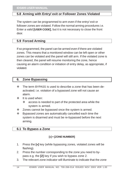## **5.8 Arming with Entry/ exit or Follower Zones Violated**

The system can be programmed to arm even if the entry/ exit or follower zones are violated. Follow the normal arming procedures i.e. Enter a valid **[USER CODE]**, but it is not necessary to close the front door.

## **5.9 Forced Arming**

If so programmed, the panel can be armed even if there are violated zones. This means that a monitored window can be left open or other zones can be violated and the panel will still arm. If the violated zone is then cleared, the panel will resume monitoring the zone, hence causing an alarm condition or initiation of entry delay, as appropriate, if violated.

## **6. Zone Bypassing**

- The term BYPASS is used to describe a zone that has been deactivated; i.e. violation of a bypassed zone will not cause an alarm.
- $\div$  It is used when:
	- $\div$  access is needed to part of the protected area while the system is armed.
- $\div$  Zones cannot be bypassed once the system is armed.
- Bypassed zones are automatically cancelled each time the system is disarmed and must be re-bypassed before the next arming.

## **6.1 To Bypass a Zone**

#### **[] + [ZONE NUMBER]**

- 1. Press the **[]** key (while bypassing zones, violated zones will be flashing).
- 2. Press the number corresponding to the zone you need to bypass e.g. the **[2]** key if you wish to bypass zone 2.
- 3. The relevant zone indicator will illuminate to indicate that the zone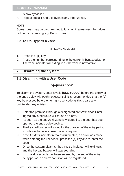is now bypassed.

4. Repeat steps 1 and 2 to bypass any other zones.

#### **NOTE:**

Some zones may be programmed to function in a manner which does not permit bypassing e.g. Panic zones.

## **6.2 To Un-Bypass a Zone**

#### **[] + [ZONE NUMBER]**

- 1. Press the **[]** key.
- 2. Press the number corresponding to the currently bypassed zone
- 3. The zone indicator will extinguish the zone is now active.

## **7. Disarming the System**

## **7.1 Disarming with a User Code**

## **[#] + [USER CODE]**

To disarm the system, enter a valid **[USER CODE]** before the expiry of the entry delay. Although not essential, it is recommended that the **[#]** key be pressed before entering a user code as this clears any unintended key entries.

- $\div$  Enter the premises through a designated entry/exit door. Entering via any other route will cause an alarm.
- $\cdot$  As soon as the entry/exit zone is violated i.e. the door has been opened, the entry delay begins.
- \* The keypad buzzer will sound for the duration of the entry period to indicate that a valid user code is required.
- $\div$  If the ARMED indicator remains illuminated, an error was made while entering the user code, press the **[#]** key and re-enter the code.
- $\div$  Once the system disarms, the ARMED indicator will extinguish and the keypad buzzer will stop sounding.
- $\cdot \cdot$  If no valid user code has been entered by the end of the entry delay period, an alarm condition will be registered.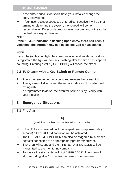- $\div$  If the entry period is too short, have your installer change the entry delay period.
- $\div$  If four incorrect user codes are entered consecutively while either arming or disarming the system, the keypad will be nonresponsive for 30 seconds. Your monitoring company will also be notified on a keypad tamper.

#### **NOTE:**

## I**f the ARMED indicator is flashing upon entry, there has been a violation. The intruder may still be inside! Call for assistance.**

#### **NOTE**:

If a strobe (or flashing light) has been installed and an alarm condition is registered the light will continue flashing after the siren has stopped sounding. Entering a valid **[USER CODE]** will cancel the strobe.

## **7.2 To Disarm with a Key-Switch or Remote Control**

- 1. Press the remote button or twist and release the key-switch.
- 2. The system will disarm and the remote indicator (if installed) will extinguish.
- 3. If programmed to do so, the siren will sound briefly verify with your installer.

## **8. Emergency Situations**

## **8.1 Fire Alarm**

## **[F]**

(Hold down the key until the keypad buzzer sounds)

- If the **[F]** key is pressed until the keypad beeps (approximately 1 second) a FIRE ALARM condition will be activated.
- The FIRE ALARM CONDITION can also be triggered by a smoke detector connected to an appropriately programmed zone.
- The siren will sound and the FIRE REPORTING CODE will be transmitted to the monitoring company.
- To silence the siren enter a 4 digit **[USER CODE]**. The siren will stop sounding after 10 minutes if no user code is entered.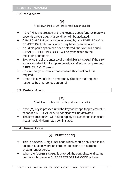#### **8.2 Panic Alarm**

# **[P]**

(Hold down the key until the keypad buzzer sounds)

- If the **[P]** key is pressed until the keypad beeps (approximately 1 second) a PANIC ALARM condition will be activated.
- \* A PANIC ALARM can also be activated by any FIXED PANIC or REMOTE PANIC buttons which may have been installed.
- $\cdot \cdot$  If audible panic option has been selected, the siren will sound. A PANIC REPORTING CODE will be transmitted to the monitoring company.
- To silence the siren, enter a valid 4 digit **[USER CODE]**. If the siren is not cancelled, it will stop automatically after the programmed SIREN TIME OUT period.
- $\div$  Ensure that your installer has enabled this function if it is required.
- $\div$  Press this key only in an emergency situation that requires response by emergency personnel.

## **8.3 Medical Alarm**

# **[M]**

(Hold down the key until the keypad buzzer sounds)

- If the **[M]** key is pressed until the keypad beeps (approximately 1 second) a MEDICAL ALARM condition will be activated.
- The keypad's buzzer will sound rapidly for 5 seconds to indicate that a medical alarm has been initiated.

## **8.4 Duress Code**

## **[#] + [DURESS CODE]**

- $\cdot \cdot$  This is a special 4 digit user code which should only used in the unique situation where an intruder forces one to disarm the system "under duress".
- When the **[DURESS CODE]** is entered, the control panel disarms normally - however a DURESS REPORTING CODE is trans-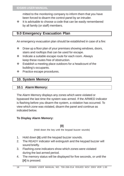mitted to the monitoring company to inform them that you have been forced to disarm the control panel by an intruder.

 $\cdot \cdot$  It is advisable to choose a code that can be easily remembered by all family (or staff) members.

## **9.0 Emergency Evacuation Plan**

An emergency evacuation plan should be established in case of a fire:

- $\cdot \cdot$  Draw up a floor plan of your premises showing windows, doors, stairs and rooftops that can be used for escape.
- Indicate a suitable escape route for each room. Always keep these routes free of obstruction.
- $\div$  Establish a meeting place outdoors for a headcount of the building's occupants.
- ❖ Practice escape procedures.

## **10. System Memory**

#### **10.1 Alarm Memory:**

The Alarm Memory displays any zones which were violated or bypassed the last time the system was armed. If the ARMED indicator is flashing before you disarm the system, a violation has occurred. To view which zone was violated, disarm the panel and continue as indicated below.

#### **To Display Alarm Memory:**

## **[0]**

(Hold down the key until the keypad buzzer sounds)

- 1. Hold down **[0]** until the keypad buzzer sounds.
- 2. The READY indicator will extinguish and the keypad buzzer will sound briefly.
- 3. Flashing zone indicators show which zones were violated during the last armed period.
- 4. The memory status will be displayed for five seconds, or until the **[#]** is pressed.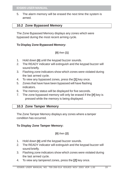5. The alarm memory will be erased the next time the system is armed.

## **10.2 Zone Bypassed Memory**

The Zone Bypassed Memory displays any zones which were bypassed during the most recent arming cycle.

#### **To Display Zone Bypassed Memory:**

## **[0]** then **[1]**

- 1. Hold down **[0]** until the keypad buzzer sounds.
- 2. The READY indicator will extinguish and the keypad buzzer will sound briefly.
- 3. Flashing zone indicators show which zones were violated during the last armed cycle.
- 4. To view any bypassed zones, press the **[1]** key once.
- 5. Zones that have have been bypassed will have flashing indicators.
- 6. The memory status will be displayed for five seconds.
- 7. The zone bypassed memory will only be erased if the **[#]** key is pressed while the memory is being displayed.

## **10.3 Zone Tamper Memory**

The Zone Tamper Memory displays any zones where a tamper condition has occurred.

## **To Display Zone Tamper Memory:**

#### **[0]** then **[2]**

- 1. Hold down **[0]** until the keypad buzzer sounds.
- 2. The READY indicator will extinguish and the keypad buzzer will sound briefly.
- 3. Flashing zone indicators show which zones were violated during the last armed cycle.
- 4. To view any tampered zones, press the **[2]** key once.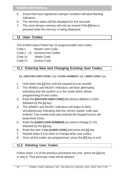- 5. Zones that have registered a tamper condition will have flashing indicators.
- 6. The memory status will be displayed for five seconds.
- 7. The zone tamper memory will only be erased if the **[#]** key is pressed while the memory is being displayed.

# **11. User Codes**

The IDS805 Alarm Panel has 15 programmable user codes.

Code 1 :Master User Code

Code 2 - 13 :General User Codes

Code 14 : Maids Code

Code 15 :Duress Code

## **11.1 Entering New and Changing Existing User Codes.**

 **[] + [MASTER USER CODE] + [] + [CODE NUMBER] + [] + [NEW CODE] + []**

- 1. Hold down the **[]** key until the keypad buzzer sounds.
- 2. The ARMED and READY indicators will flash alternately, indicating that the system is in the mode which allows programming of user codes.
- 3. Enter the **[MASTER USER CODE]** (the factory default is 1234) followed by the **[]** key.
- 4. The ARMED and READY indicators will begin to flash simultaneously indicating that the correct master code was entered. If an invalid code was entered the keypad buzzer will beep three times.
- 5. Enter the **[USER CODE NUMBER]** you wish to change (1-15) followed by the **[]** key.
- 6. Enter the new 4 digit **[USER CODE]** and press the **[]** key.
- 7. Repeat steps 5-6 to enter or change other user codes.
- 8. Once all the codes are programmed, press the **[#]** key to exit.

## **11.2 Deleting User Codes**

Follow steps 1-5 of the previous procedure but only press the **[]** key in step 6. That particular code will be deleted.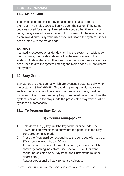#### **11.3 Maids Code**

The maids code (user 14) may be used to limit access to the premises. The maids code will only disarm the system if the same code was used for arming. If armed with a code other than a maids code, the system will view an attempt to disarm with the maids code as an invalid entry. Any valid user code will disarm the system if it has been armed with the maids code.

#### **EXAMPLE:**

If a maid is expected on a Monday, arming the system on a Monday morning using the maids code will allow the maid to disarm the system. On days that any other user code (i.e. not a maids code) has been used to arm the system entering the maids code will not disarm the system.

## **12. Stay Zones**

Stay zones are those zones which are bypassed automatically when the system is STAY ARMED. To avoid triggering the alarm, zones such as bedrooms, or other areas which require access, must be bypassed. Stay zones need only be programmed once. Each time the system is armed in the stay mode the preselected stay zones will be bypassed automatically.

## **12.1 To Program Stay Zones**

#### $[3] + [ZONE NUMBER] + [*] + [#]$

- 1. Hold down the **[3]** key until the keypad buzzer sounds. The AWAY indicator will flash to show that the panel is in the Stay Zone programming mode.
- 2. Press the **[NUMBER]** corresponding to the zone you wish to be a STAY zone followed by the **[]** key.
- 3. The relevant zone indicator will illuminate. (Buzz zones will be shown by flashing indicators. See Section 13. A Buzz zone cannot be selected as a Stay zone; the Buzz status must be cleared first.)
- 4. Repeat step 2 until all stay zones are selected.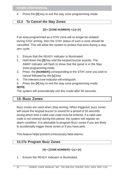4. Press the **[#]** key to exit the stay zone programming mode.

#### **12.2 To Cancel the Stay Zones**

#### **[3] + [ZONE NUMBER] + []+ [#]**

If an area programmed as a STAY zone will no longer be violated during STAY arming, then the STAY status of such a zone should be cancelled. This will allow the system to protect that area during a stay arm cycle.

- 1. Ensure that the READY indicator is illuminated.
- 2. Hold down the **[3]** key until the keypad buzzer sounds. The AWAY indicator will flash to show that the panel is in the Stay Zone programming mode.
- 3. Press the **[NUMBER]** corresponding to the STAY zone you wish to cancel followed by the **[]** key.
- 4. The relevant zone indicator will extinguish.
- 5. Press the **[#]** key to exit the stay zone programming mode. **NOTE:**

The system will automatically exit this mode after 60 seconds.

## **13. Buzz Zones**

Buzz zones are used when Stay arming. When triggered, buzz zones will cause the keypad buzzer to sound for a period of 30 seconds during which time a valid user code must be entered. If a valid user code is not entered during this period the system will register an alarm condition. It is advisable to program Buzz zones if you are likely to accidentally trigger these zones or if you have pets.

This feature helps prevent unnecessary false alarms

## **13.1To Program Buzz Zones**

#### **[4] + [ZONE NUMBER] + [] + [#]**

1. Ensure the READY indicator is illuminated.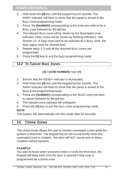- 2. Hold down the **[4]** key until the keypad buzzer sounds. The AWAY indicator will flash to show that the panel is armed in the Buzz Zone programming mode.
- 3. Press the **[NUMBER]** corresponding to the zone you wish to be a Buzz zone followed by the **[]** key.
- 4. The relevant Buzz zone will be shown by the illuminated zone indicator. (Stay zones will be shown by flashing indicators. See Section 12. A Stay zone cannot be selected as a Buzz zone; the Stay status must be cleared first).
- 5. Repeat steps 1-3 until all the required Buzz zones are programmed.
- 6. Press the **[#]** key to exit the buzz programming mode.

## **13.2 To Cancel Buzz Zones**

## $[4] + [ZONE NUMBER] + [*] + [#]$

- 1. Ensure that the READY indicator is illuminated.
- 2. Hold down the **[4]** key until the keypad buzzer sounds. The AWAY indicator will flash to show that the panel is armed in the Buzz Zone programming mode.
- 3. Press the **[NUMBER]** corresponding to the BUZZ zone you wish to cancel followed by the **[]** key.
- 4. The relevant zone indicator will extinguish.
- 5. Press the **[#]** key to exit the buzz zone programming mode.

## **NOTE:**

The system will automatically exit this mode after 60 seconds.

# **14. Chime Zones**

The chime mode allows the user to monitor nominated zones while the system is disarmed. The keypad buzzer will sound briefly when the nominated zone is violated - the siren will NOT sound and no alarm condition will be reported.

## **EXAMPLE**:

You wish to know when someone enters or exits the front door, the keypad will beep each time the door is opened if that zone is programmed as a chime zone.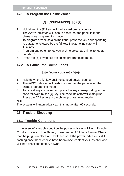## **14.1 To Program the Chime Zones**

## $[2] + [ZONE NUMBER] + [*] + [#]$

- 1. Hold down the **[2]** key until the keypad buzzer sounds.
- 2. The AWAY indicator will flash to show that the panel is In the chime zone programming mode.
- 3. To program a zone as a chime zone, press the key corresponding to that zone followed by the **[]** key. The zone indicator will illuminate.
- 4. Program any other zones you wish to select as chime zones as per step 3.
- 5. Press the **[#]** key to exit the chime programming mode.

## **14.2 To Cancel the Chime Zones**

## $[2] + [ZONE NUMBER] + [*] + [#]$

- 1. Hold down the **[2]** key until the keypad buzzer sounds.
- 2. The AWAY indicator will flash to show that the panel is on the chime programming mode.
- 3. To cancel any chime zones, press the key corresponding to that zone followed by the **[]** key. The zone indicator will extinguish.
- 4. Press the **[#]** key to exit the chime programming mode.

#### **NOTE:**

The system will automaticaly exit this mode after 60 seconds.

# **15. Trouble-Shooting**

## **15.1 Trouble Conditions**

In the event of a trouble condition the power indicator will flash. Trouble Condition refers to Low Battery power and/or AC Mains Failure. Check that the plug is in place and switched on. If the power indicator is still flashing once these checks have been done, contact your installer who will then check the battery power.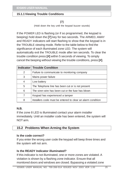#### **15.1.1 Viewing Trouble Conditions**

#### **[7]**

(Hold down the key until the keypad buzzer sounds)

If the POWER LED is flashing (or if so programmed, the keypad is beeping) hold down the **[7]** key for two seconds. The ARMED, AWAY and READY indicators will start flashing to show that the keypad is in the TROUBLE viewing mode. Refer to the table below to find the significance of each illuminated zone LED. The system will automatically exit the TROUBLE mode after ten seconds. To clear the trouble condition press **[#]** within 5 seconds of viewing. To simply cancel the beeping without viewing the trouble conditions, press **[#]**.

|   | <b>Indicator Trouble Condition</b>                          |
|---|-------------------------------------------------------------|
| 2 | Failure to communicate to monitoring company                |
| 3 | Mains power failure                                         |
| 4 | Low battery                                                 |
| 5 | The Telephone line has been cut or is not present           |
| 6 | The siren wire has been cut or the fuse has blown           |
| 7 | Keypad has experienced a tamper                             |
| 8 | Installers code must be entered to clear an alarm condition |

#### **N.B.**

If the zone 8 LED is illuminated contact your alarm installer immediately. Until an installer code has been entered, the system will NOT arm.

## **15.2 Problems When Arming the System**

#### **Is the code correct?**

If you enter the wrong user code the keypad will beep three times and the system will not arm.

#### **Is the READY Indicator illuminated?**

If this indicator is not illuminated, one or more zones are violated. A violation is shown by a flashing zone indicator. Ensure that all monitored doors and windows are closed. Bypassing a violated zone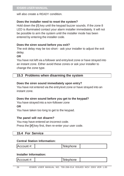will also create a READY condition.

#### **Does the installer need to reset the system?**

Hold down the **[7]** key until the keypad buzzer sounds. If the zone 8 LED is illuminated contact your alarm installer immediately. It will not be possible to arm the system until the installer mode has been entered by entering the installer code.

#### **Does the siren sound before you exit?**

The exit delay may be too short - ask your installer to adjust the exit delay.

#### **OR**

You have not left via a follower and entry/exit zone or have strayed into an instant zone. Either avoid these zones or ask your installer to change the zone type.

#### **15.3 Problems when disarming the system**

#### **Does the siren sound immediately upon entry?**

You have not entered via the entry/exit zone or have strayed into an instant zone.

#### **Does the siren sound before you get to the keypad?**

You have strayed into a non-follower zone

**OR**

You have taken too long to get to the keypad.

#### **The panel will not disarm?**

You may have entered an incorrect code. Press the **[#]** key first, then re-enter your user code.

#### **15.4 For Service**

#### **Central Station Information:**

| ≖.<br>ΙA<br>← tunt – | ephone |  |
|----------------------|--------|--|
|                      |        |  |

#### **Installer Information:**

Account #:  $\blacksquare$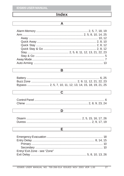# **Index**

#### $\overline{\mathsf{A}}$

## $\overline{\mathsf{B}}$

#### $\overline{\mathbf{c}}$

#### $\overline{\mathsf{D}}$

#### $\overline{\mathsf{E}}$

| Entry/ Exit Zone - see "Zone" |  |
|-------------------------------|--|
|                               |  |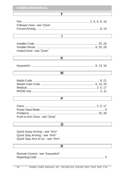| Follower Zone - see "Zone"                                                                        |
|---------------------------------------------------------------------------------------------------|
| Ī                                                                                                 |
| Instant Zone - see "Zone"                                                                         |
| K                                                                                                 |
|                                                                                                   |
| м                                                                                                 |
|                                                                                                   |
| P                                                                                                 |
| Push to Arm Zone - see "Zone"                                                                     |
| Q                                                                                                 |
| Quick Away Arming - see "Arm"<br>Quick Stay Arming - see "Arm"<br>Quick Stay Arm & Go - see "Arm" |
| R                                                                                                 |
| Remote Control - see "Keyswitch"<br>. 5                                                           |